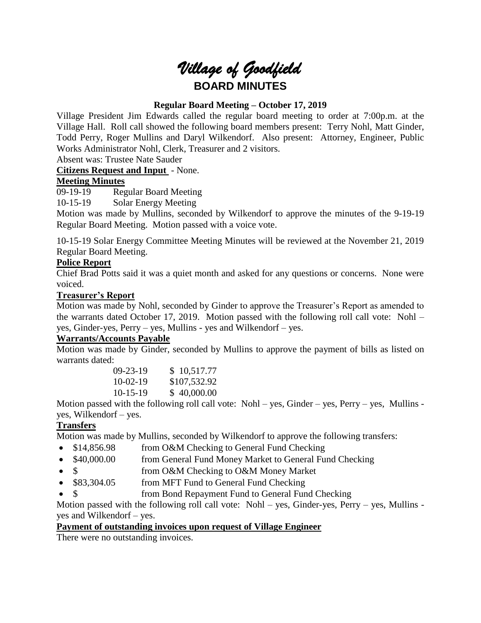# *Village of Goodfield* **BOARD MINUTES**

# **Regular Board Meeting – October 17, 2019**

Village President Jim Edwards called the regular board meeting to order at 7:00p.m. at the Village Hall. Roll call showed the following board members present: Terry Nohl, Matt Ginder, Todd Perry, Roger Mullins and Daryl Wilkendorf. Also present: Attorney, Engineer, Public Works Administrator Nohl, Clerk, Treasurer and 2 visitors.

Absent was: Trustee Nate Sauder

# **Citizens Request and Input** - None.

# **Meeting Minutes**

09-19-19 Regular Board Meeting

10-15-19 Solar Energy Meeting

Motion was made by Mullins, seconded by Wilkendorf to approve the minutes of the 9-19-19 Regular Board Meeting. Motion passed with a voice vote.

10-15-19 Solar Energy Committee Meeting Minutes will be reviewed at the November 21, 2019 Regular Board Meeting.

# **Police Report**

Chief Brad Potts said it was a quiet month and asked for any questions or concerns. None were voiced.

## **Treasurer's Report**

Motion was made by Nohl, seconded by Ginder to approve the Treasurer's Report as amended to the warrants dated October 17, 2019. Motion passed with the following roll call vote: Nohl – yes, Ginder-yes, Perry – yes, Mullins - yes and Wilkendorf – yes.

## **Warrants/Accounts Payable**

Motion was made by Ginder, seconded by Mullins to approve the payment of bills as listed on warrants dated:

| $09-23-19$ | \$10,517.77  |
|------------|--------------|
| $10-02-19$ | \$107,532.92 |
| $10-15-19$ | \$40,000.00  |

Motion passed with the following roll call vote:  $Nohl - \text{ves}$ , Ginder – yes, Perry – yes, Mullins yes, Wilkendorf – yes.

# **Transfers**

Motion was made by Mullins, seconded by Wilkendorf to approve the following transfers:

- \$14,856.98 from O&M Checking to General Fund Checking
- \$40,000.00 from General Fund Money Market to General Fund Checking
- \$ from O&M Checking to O&M Money Market
- \$83,304.05 from MFT Fund to General Fund Checking
	- from Bond Repayment Fund to General Fund Checking

Motion passed with the following roll call vote: Nohl – yes, Ginder-yes, Perry – yes, Mullins yes and Wilkendorf – yes.

## **Payment of outstanding invoices upon request of Village Engineer**

There were no outstanding invoices.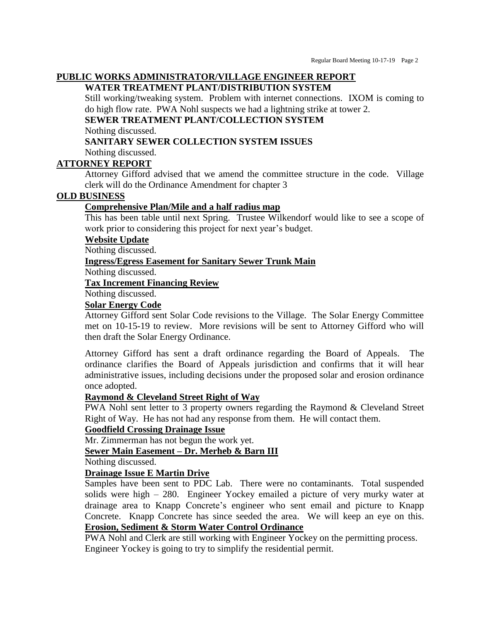# **PUBLIC WORKS ADMINISTRATOR/VILLAGE ENGINEER REPORT**

# **WATER TREATMENT PLANT/DISTRIBUTION SYSTEM**

Still working/tweaking system. Problem with internet connections. IXOM is coming to do high flow rate. PWA Nohl suspects we had a lightning strike at tower 2.

# **SEWER TREATMENT PLANT/COLLECTION SYSTEM**

Nothing discussed.

#### **SANITARY SEWER COLLECTION SYSTEM ISSUES**

Nothing discussed.

## **ATTORNEY REPORT**

Attorney Gifford advised that we amend the committee structure in the code. Village clerk will do the Ordinance Amendment for chapter 3

#### **OLD BUSINESS**

#### **Comprehensive Plan/Mile and a half radius map**

This has been table until next Spring. Trustee Wilkendorf would like to see a scope of work prior to considering this project for next year's budget.

#### **Website Update**

Nothing discussed.

#### **Ingress/Egress Easement for Sanitary Sewer Trunk Main**

Nothing discussed.

## **Tax Increment Financing Review**

Nothing discussed.

# **Solar Energy Code**

Attorney Gifford sent Solar Code revisions to the Village. The Solar Energy Committee met on 10-15-19 to review. More revisions will be sent to Attorney Gifford who will then draft the Solar Energy Ordinance.

Attorney Gifford has sent a draft ordinance regarding the Board of Appeals. The ordinance clarifies the Board of Appeals jurisdiction and confirms that it will hear administrative issues, including decisions under the proposed solar and erosion ordinance once adopted.

#### **Raymond & Cleveland Street Right of Way**

PWA Nohl sent letter to 3 property owners regarding the Raymond & Cleveland Street Right of Way. He has not had any response from them. He will contact them.

#### **Goodfield Crossing Drainage Issue**

Mr. Zimmerman has not begun the work yet.

#### **Sewer Main Easement – Dr. Merheb & Barn III**

Nothing discussed.

## **Drainage Issue E Martin Drive**

Samples have been sent to PDC Lab. There were no contaminants. Total suspended solids were high – 280. Engineer Yockey emailed a picture of very murky water at drainage area to Knapp Concrete's engineer who sent email and picture to Knapp Concrete. Knapp Concrete has since seeded the area. We will keep an eye on this. **Erosion, Sediment & Storm Water Control Ordinance**

PWA Nohl and Clerk are still working with Engineer Yockey on the permitting process. Engineer Yockey is going to try to simplify the residential permit.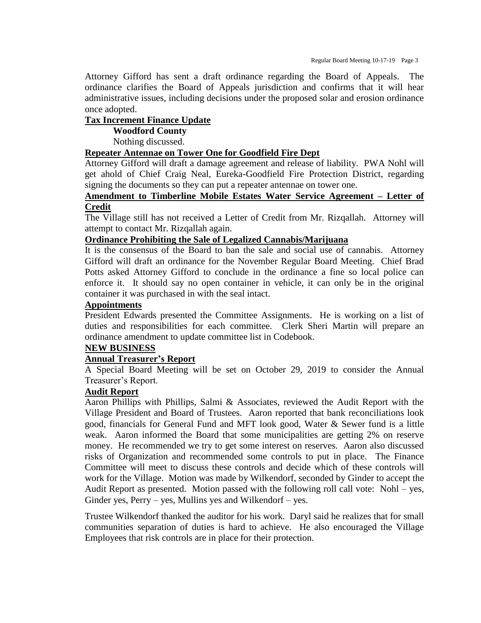Attorney Gifford has sent a draft ordinance regarding the Board of Appeals. The ordinance clarifies the Board of Appeals jurisdiction and confirms that it will hear administrative issues, including decisions under the proposed solar and erosion ordinance once adopted.

#### **Tax Increment Finance Update**

**Woodford County**

Nothing discussed.

#### **Repeater Antennae on Tower One for Goodfield Fire Dept**

Attorney Gifford will draft a damage agreement and release of liability. PWA Nohl will get ahold of Chief Craig Neal, Eureka-Goodfield Fire Protection District, regarding signing the documents so they can put a repeater antennae on tower one.

### **Amendment to Timberline Mobile Estates Water Service Agreement – Letter of Credit**

The Village still has not received a Letter of Credit from Mr. Rizqallah. Attorney will attempt to contact Mr. Rizqallah again.

#### **Ordinance Prohibiting the Sale of Legalized Cannabis/Marijuana**

It is the consensus of the Board to ban the sale and social use of cannabis. Attorney Gifford will draft an ordinance for the November Regular Board Meeting. Chief Brad Potts asked Attorney Gifford to conclude in the ordinance a fine so local police can enforce it. It should say no open container in vehicle, it can only be in the original container it was purchased in with the seal intact.

# **Appointments**

President Edwards presented the Committee Assignments. He is working on a list of duties and responsibilities for each committee. Clerk Sheri Martin will prepare an ordinance amendment to update committee list in Codebook.

## **NEW BUSINESS**

## **Annual Treasurer's Report**

A Special Board Meeting will be set on October 29, 2019 to consider the Annual Treasurer's Report.

#### **Audit Report**

Aaron Phillips with Phillips, Salmi & Associates, reviewed the Audit Report with the Village President and Board of Trustees. Aaron reported that bank reconciliations look good, financials for General Fund and MFT look good, Water & Sewer fund is a little weak. Aaron informed the Board that some municipalities are getting 2% on reserve money. He recommended we try to get some interest on reserves. Aaron also discussed risks of Organization and recommended some controls to put in place. The Finance Committee will meet to discuss these controls and decide which of these controls will work for the Village. Motion was made by Wilkendorf, seconded by Ginder to accept the Audit Report as presented. Motion passed with the following roll call vote: Nohl – yes, Ginder yes,  $Perry - yes$ , Mullins yes and Wilkendorf – yes.

Trustee Wilkendorf thanked the auditor for his work. Daryl said he realizes that for small communities separation of duties is hard to achieve. He also encouraged the Village Employees that risk controls are in place for their protection.